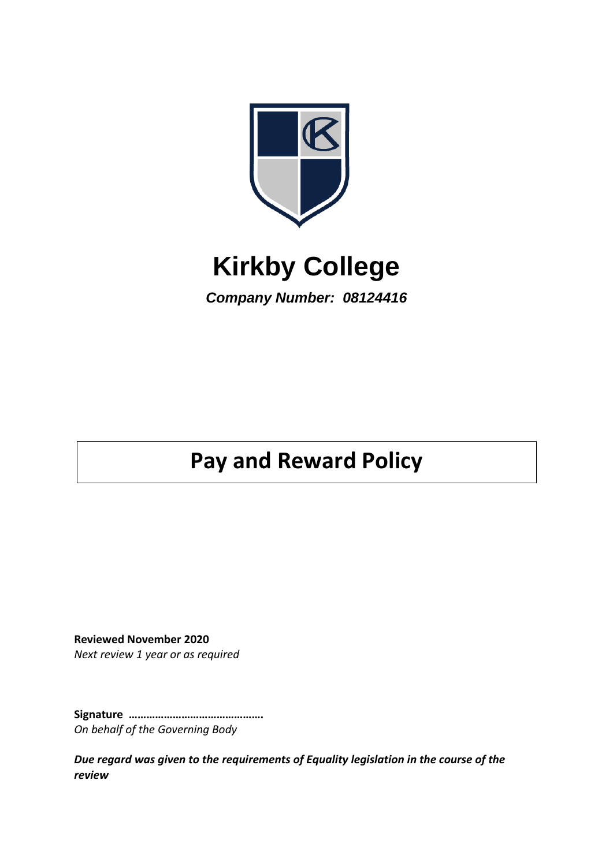

# **Kirkby College**

*Company Number: 08124416*

# **Pay and Reward Policy**

**Reviewed November 2020** *Next review 1 year or as required*

**Signature ……………………………………….** *On behalf of the Governing Body*

*Due regard was given to the requirements of Equality legislation in the course of the review*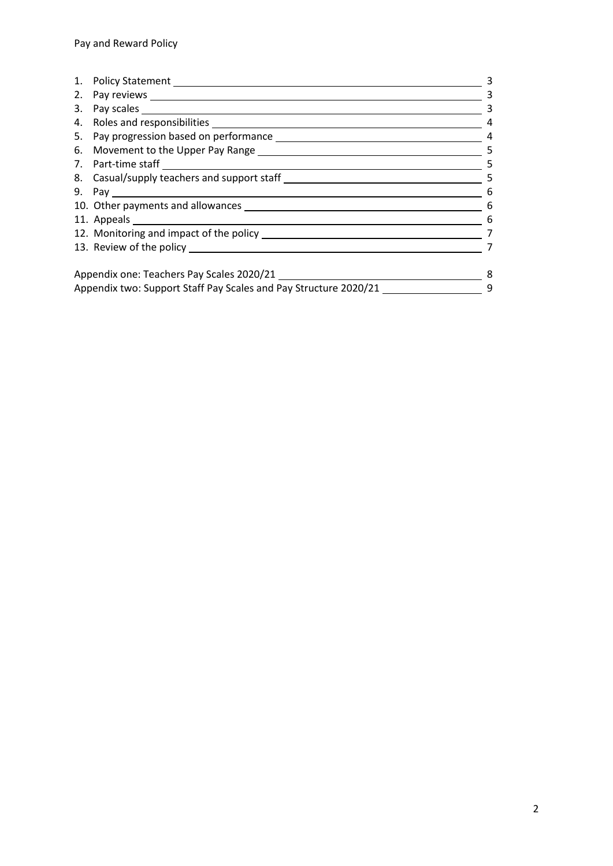| 2.                                                               |                                   | 3 |
|------------------------------------------------------------------|-----------------------------------|---|
| 3.                                                               |                                   | 3 |
|                                                                  |                                   |   |
|                                                                  |                                   | 4 |
|                                                                  |                                   | 5 |
|                                                                  |                                   | 5 |
|                                                                  |                                   | 5 |
|                                                                  |                                   | 6 |
|                                                                  | 10. Other payments and allowances | 6 |
|                                                                  |                                   | 6 |
|                                                                  |                                   |   |
|                                                                  |                                   |   |
| Appendix one: Teachers Pay Scales 2020/21                        |                                   | 8 |
| Appendix two: Support Staff Pay Scales and Pay Structure 2020/21 |                                   | 9 |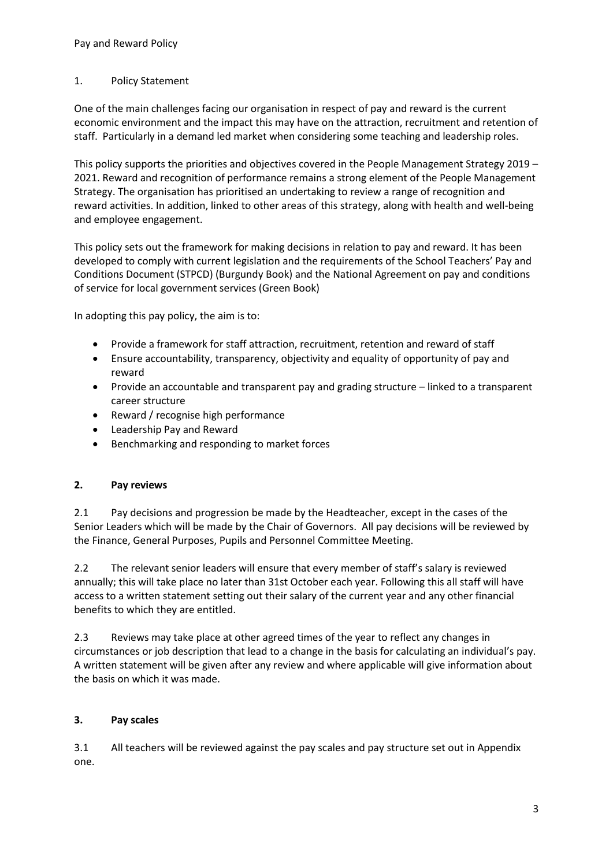#### 1. Policy Statement

One of the main challenges facing our organisation in respect of pay and reward is the current economic environment and the impact this may have on the attraction, recruitment and retention of staff. Particularly in a demand led market when considering some teaching and leadership roles.

This policy supports the priorities and objectives covered in the People Management Strategy 2019 – 2021. Reward and recognition of performance remains a strong element of the People Management Strategy. The organisation has prioritised an undertaking to review a range of recognition and reward activities. In addition, linked to other areas of this strategy, along with health and well-being and employee engagement.

This policy sets out the framework for making decisions in relation to pay and reward. It has been developed to comply with current legislation and the requirements of the School Teachers' Pay and Conditions Document (STPCD) (Burgundy Book) and the National Agreement on pay and conditions of service for local government services (Green Book)

In adopting this pay policy, the aim is to:

- Provide a framework for staff attraction, recruitment, retention and reward of staff
- Ensure accountability, transparency, objectivity and equality of opportunity of pay and reward
- Provide an accountable and transparent pay and grading structure linked to a transparent career structure
- Reward / recognise high performance
- Leadership Pay and Reward
- Benchmarking and responding to market forces

# **2. Pay reviews**

2.1 Pay decisions and progression be made by the Headteacher, except in the cases of the Senior Leaders which will be made by the Chair of Governors. All pay decisions will be reviewed by the Finance, General Purposes, Pupils and Personnel Committee Meeting.

2.2 The relevant senior leaders will ensure that every member of staff's salary is reviewed annually; this will take place no later than 31st October each year. Following this all staff will have access to a written statement setting out their salary of the current year and any other financial benefits to which they are entitled.

2.3 Reviews may take place at other agreed times of the year to reflect any changes in circumstances or job description that lead to a change in the basis for calculating an individual's pay. A written statement will be given after any review and where applicable will give information about the basis on which it was made.

# **3. Pay scales**

3.1 All teachers will be reviewed against the pay scales and pay structure set out in Appendix one.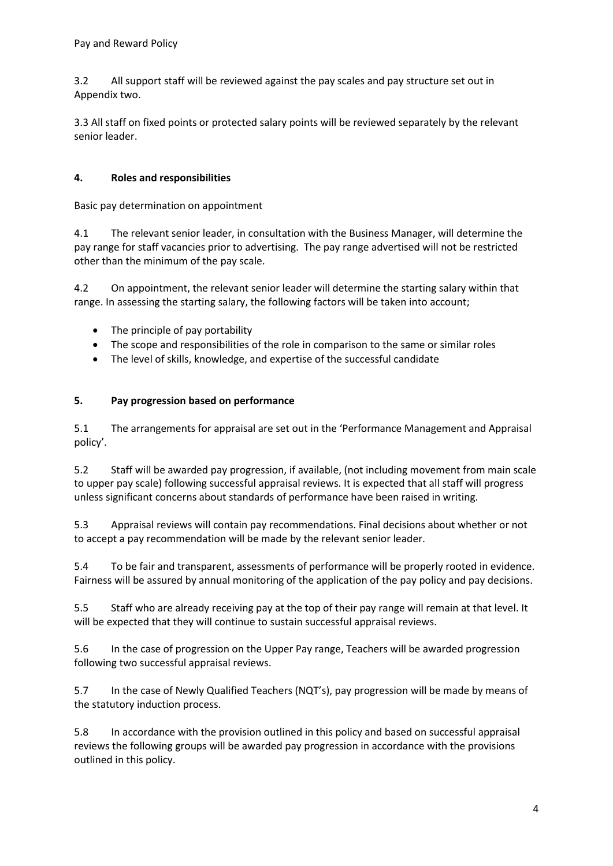3.2 All support staff will be reviewed against the pay scales and pay structure set out in Appendix two.

3.3 All staff on fixed points or protected salary points will be reviewed separately by the relevant senior leader.

# **4. Roles and responsibilities**

Basic pay determination on appointment

4.1 The relevant senior leader, in consultation with the Business Manager, will determine the pay range for staff vacancies prior to advertising. The pay range advertised will not be restricted other than the minimum of the pay scale.

4.2 On appointment, the relevant senior leader will determine the starting salary within that range. In assessing the starting salary, the following factors will be taken into account;

- The principle of pay portability
- The scope and responsibilities of the role in comparison to the same or similar roles
- The level of skills, knowledge, and expertise of the successful candidate

# **5. Pay progression based on performance**

5.1 The arrangements for appraisal are set out in the 'Performance Management and Appraisal policy'.

5.2 Staff will be awarded pay progression, if available, (not including movement from main scale to upper pay scale) following successful appraisal reviews. It is expected that all staff will progress unless significant concerns about standards of performance have been raised in writing.

5.3 Appraisal reviews will contain pay recommendations. Final decisions about whether or not to accept a pay recommendation will be made by the relevant senior leader.

5.4 To be fair and transparent, assessments of performance will be properly rooted in evidence. Fairness will be assured by annual monitoring of the application of the pay policy and pay decisions.

5.5 Staff who are already receiving pay at the top of their pay range will remain at that level. It will be expected that they will continue to sustain successful appraisal reviews.

5.6 In the case of progression on the Upper Pay range, Teachers will be awarded progression following two successful appraisal reviews.

5.7 In the case of Newly Qualified Teachers (NQT's), pay progression will be made by means of the statutory induction process.

5.8 In accordance with the provision outlined in this policy and based on successful appraisal reviews the following groups will be awarded pay progression in accordance with the provisions outlined in this policy.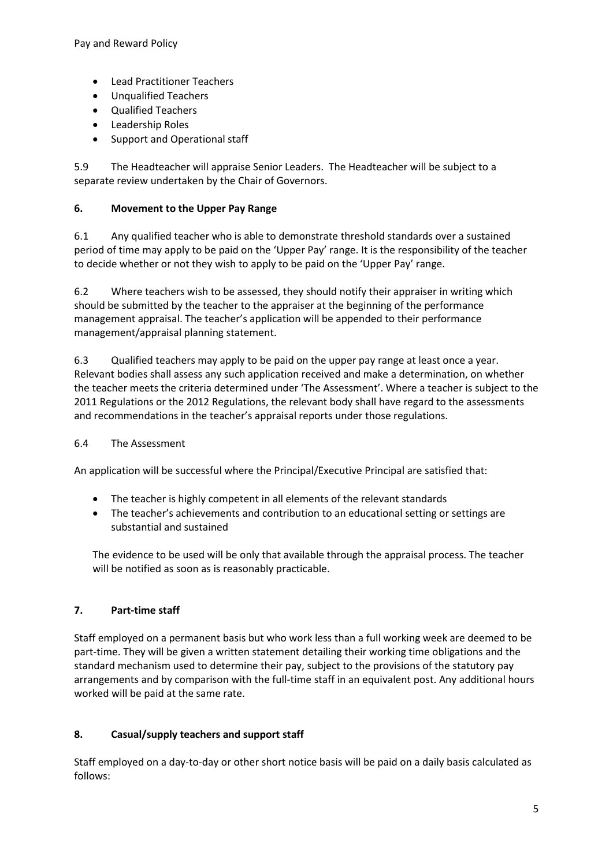- Lead Practitioner Teachers
- Unqualified Teachers
- Qualified Teachers
- Leadership Roles
- Support and Operational staff

5.9 The Headteacher will appraise Senior Leaders. The Headteacher will be subject to a separate review undertaken by the Chair of Governors.

#### **6. Movement to the Upper Pay Range**

6.1 Any qualified teacher who is able to demonstrate threshold standards over a sustained period of time may apply to be paid on the 'Upper Pay' range. It is the responsibility of the teacher to decide whether or not they wish to apply to be paid on the 'Upper Pay' range.

6.2 Where teachers wish to be assessed, they should notify their appraiser in writing which should be submitted by the teacher to the appraiser at the beginning of the performance management appraisal. The teacher's application will be appended to their performance management/appraisal planning statement.

6.3 Qualified teachers may apply to be paid on the upper pay range at least once a year. Relevant bodies shall assess any such application received and make a determination, on whether the teacher meets the criteria determined under 'The Assessment'. Where a teacher is subject to the 2011 Regulations or the 2012 Regulations, the relevant body shall have regard to the assessments and recommendations in the teacher's appraisal reports under those regulations.

#### 6.4 The Assessment

An application will be successful where the Principal/Executive Principal are satisfied that:

- The teacher is highly competent in all elements of the relevant standards
- The teacher's achievements and contribution to an educational setting or settings are substantial and sustained

The evidence to be used will be only that available through the appraisal process. The teacher will be notified as soon as is reasonably practicable.

#### **7. Part-time staff**

Staff employed on a permanent basis but who work less than a full working week are deemed to be part-time. They will be given a written statement detailing their working time obligations and the standard mechanism used to determine their pay, subject to the provisions of the statutory pay arrangements and by comparison with the full-time staff in an equivalent post. Any additional hours worked will be paid at the same rate.

#### **8. Casual/supply teachers and support staff**

Staff employed on a day-to-day or other short notice basis will be paid on a daily basis calculated as follows: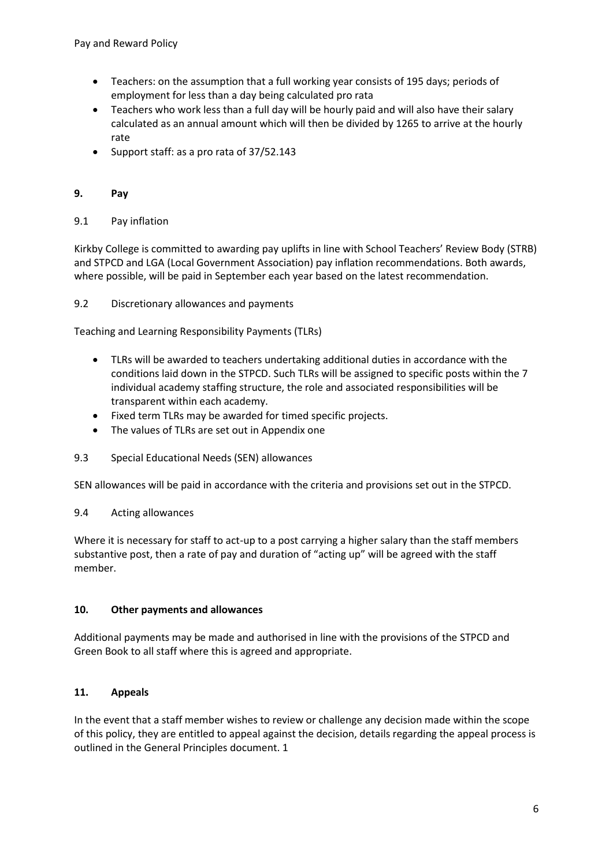- Teachers: on the assumption that a full working year consists of 195 days; periods of employment for less than a day being calculated pro rata
- Teachers who work less than a full day will be hourly paid and will also have their salary calculated as an annual amount which will then be divided by 1265 to arrive at the hourly rate
- Support staff: as a pro rata of 37/52.143

#### **9. Pay**

#### 9.1 Pay inflation

Kirkby College is committed to awarding pay uplifts in line with School Teachers' Review Body (STRB) and STPCD and LGA (Local Government Association) pay inflation recommendations. Both awards, where possible, will be paid in September each year based on the latest recommendation.

9.2 Discretionary allowances and payments

Teaching and Learning Responsibility Payments (TLRs)

- TLRs will be awarded to teachers undertaking additional duties in accordance with the conditions laid down in the STPCD. Such TLRs will be assigned to specific posts within the 7 individual academy staffing structure, the role and associated responsibilities will be transparent within each academy.
- Fixed term TLRs may be awarded for timed specific projects.
- The values of TLRs are set out in Appendix one
- 9.3 Special Educational Needs (SEN) allowances

SEN allowances will be paid in accordance with the criteria and provisions set out in the STPCD.

#### 9.4 Acting allowances

Where it is necessary for staff to act-up to a post carrying a higher salary than the staff members substantive post, then a rate of pay and duration of "acting up" will be agreed with the staff member.

#### **10. Other payments and allowances**

Additional payments may be made and authorised in line with the provisions of the STPCD and Green Book to all staff where this is agreed and appropriate.

#### **11. Appeals**

In the event that a staff member wishes to review or challenge any decision made within the scope of this policy, they are entitled to appeal against the decision, details regarding the appeal process is outlined in the General Principles document. 1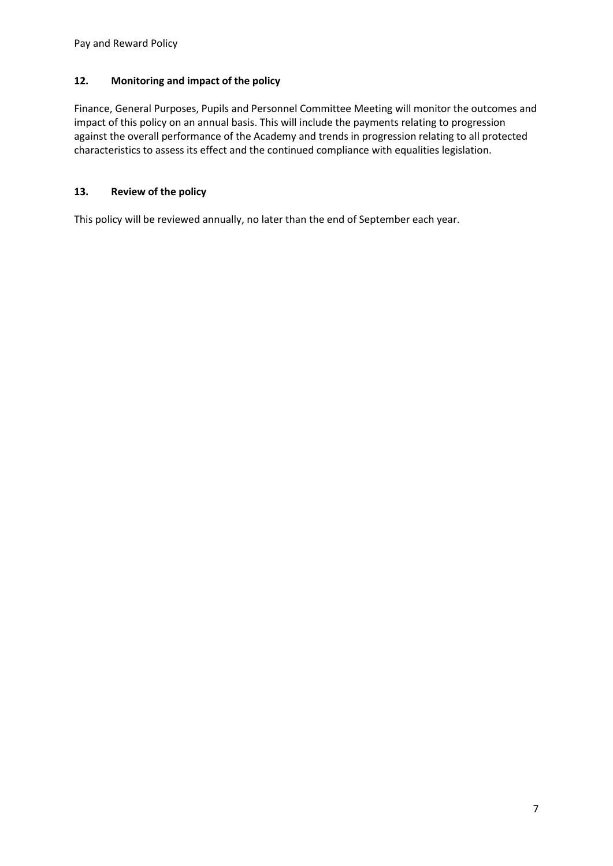# **12. Monitoring and impact of the policy**

Finance, General Purposes, Pupils and Personnel Committee Meeting will monitor the outcomes and impact of this policy on an annual basis. This will include the payments relating to progression against the overall performance of the Academy and trends in progression relating to all protected characteristics to assess its effect and the continued compliance with equalities legislation.

# **13. Review of the policy**

This policy will be reviewed annually, no later than the end of September each year.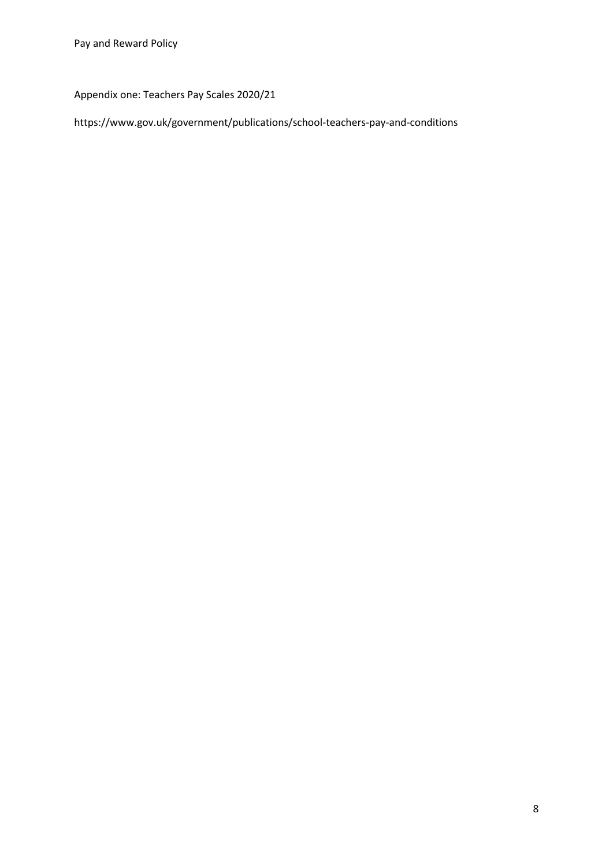Appendix one: Teachers Pay Scales 2020/21

https://www.gov.uk/government/publications/school-teachers-pay-and-conditions